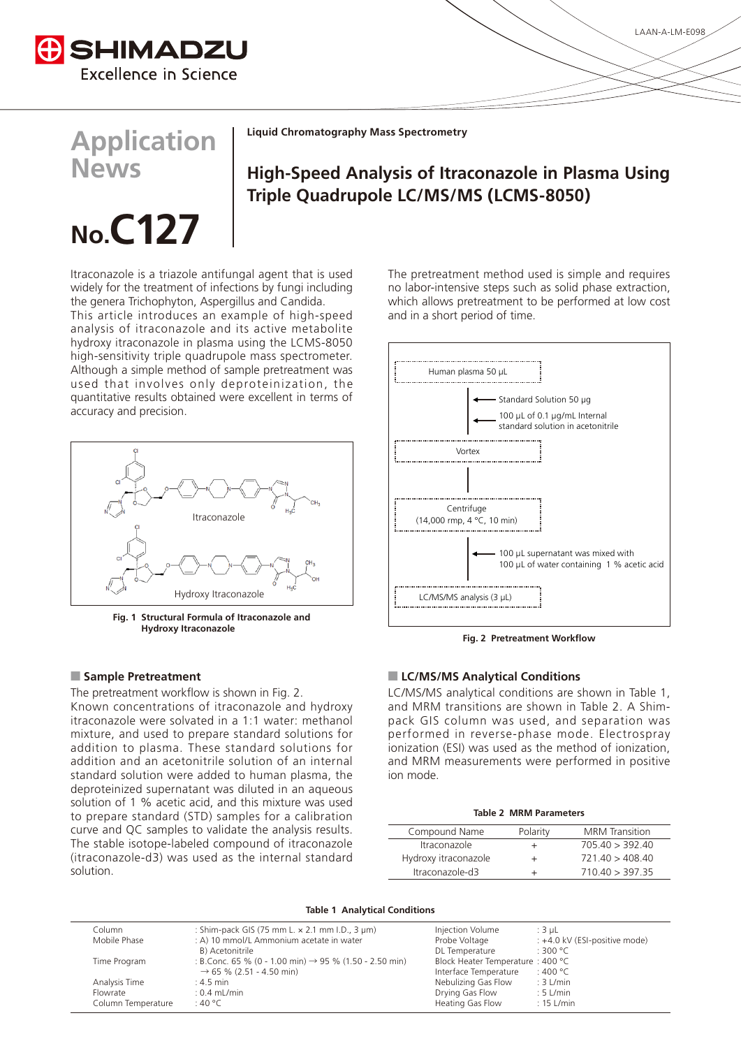

**Liquid Chromatography Mass Spectrometry** 

## **Application News**

# No.C<sub>127</sub>

**High-Speed Analysis of Itraconazole in Plasma Using Triple Quadrupole LC/MS/MS (LCMS-8050)** 

Itraconazole is a triazole antifungal agent that is used widely for the treatment of infections by fungi including the genera Trichophyton, Aspergillus and Candida.

This article introduces an example of high-speed analysis of itraconazole and its active metabolite hydroxy itraconazole in plasma using the LCMS-8050 high-sensitivity triple quadrupole mass spectrometer. Although a simple method of sample pretreatment was used that involves only deproteinization, the quantitative results obtained were excellent in terms of accuracy and precision.



 **Fig. 1 Structural Formula of Itraconazole and Itraconazole Hydroxy**

The pretreatment workflow is shown in Fig. 2. Known concentrations of itraconazole and hydroxy itraconazole were solvated in a 1:1 water: methanol mixture, and used to prepare standard solutions for addition to plasma. These standard solutions for addition and an acetonitrile solution of an internal standard solution were added to human plasma, the deproteinized supernatant was diluted in an aqueous solution of 1 % acetic acid, and this mixture was used to prepare standard (STD) samples for a calibration curve and QC samples to validate the analysis results. The stable isotope-labeled compound of itraconazole  $(itraconazole-d3)$  was used as the internal standard .solution

The pretreatment method used is simple and requires no labor-intensive steps such as solid phase extraction, which allows pretreatment to be performed at low cost and in a short period of time.



**Fig. 2 Pretreatment Workflow** 

#### **Conditions Analytical Microsoft Conditions Analytical Conditions Analytical Conditions**

LC/MS/MS analytical conditions are shown in Table 1, pack GIS column was used, and separation was and MRM transitions are shown in Table 2. A Shimperformed in reverse-phase mode. Electrospray ionization (ESI) was used as the method of ionization. and MRM measurements were performed in positive ion mode.

#### **Table 2 MRM Parameters**

| Compound Name                     | Polarity | <b>MRM</b> Transition |
|-----------------------------------|----------|-----------------------|
| <i><u><b>Itraconazole</b></u></i> | +        | 705.40 > 392.40       |
| Hydroxy itraconazole              | +        | 721.40 > 408.40       |
| Itraconazole-d3                   | +        | 710.40 > 397.35       |

**Table 1 Analytical Conditions** 

| Column             | : Shim-pack GIS (75 mm L. $\times$ 2.1 mm I.D., 3 $\mu$ m)         | Injection Volume                 | ∴3 uL                         |
|--------------------|--------------------------------------------------------------------|----------------------------------|-------------------------------|
| Mobile Phase       | : A) 10 mmol/L Ammonium acetate in water                           | Probe Voltage                    | : +4.0 kV (ESI-positive mode) |
|                    | B) Acetonitrile                                                    | DL Temperature                   | :300 °C                       |
| Time Program       | : B.Conc. 65 % (0 - 1.00 min) $\rightarrow$ 95 % (1.50 - 2.50 min) | Block Heater Temperature: 400 °C |                               |
|                    | $\rightarrow$ 65 % (2.51 - 4.50 min)                               | Interface Temperature            | ∴ 400 °C                      |
| Analysis Time      | $: 4.5$ min                                                        | Nebulizing Gas Flow              | $: 3$ L/min                   |
| Flowrate           | $: 0.4$ mL/min                                                     | Drying Gas Flow                  | $: 5$ L/min                   |
| Column Temperature | :40 °C                                                             | Heating Gas Flow                 | $: 15$ L/min                  |